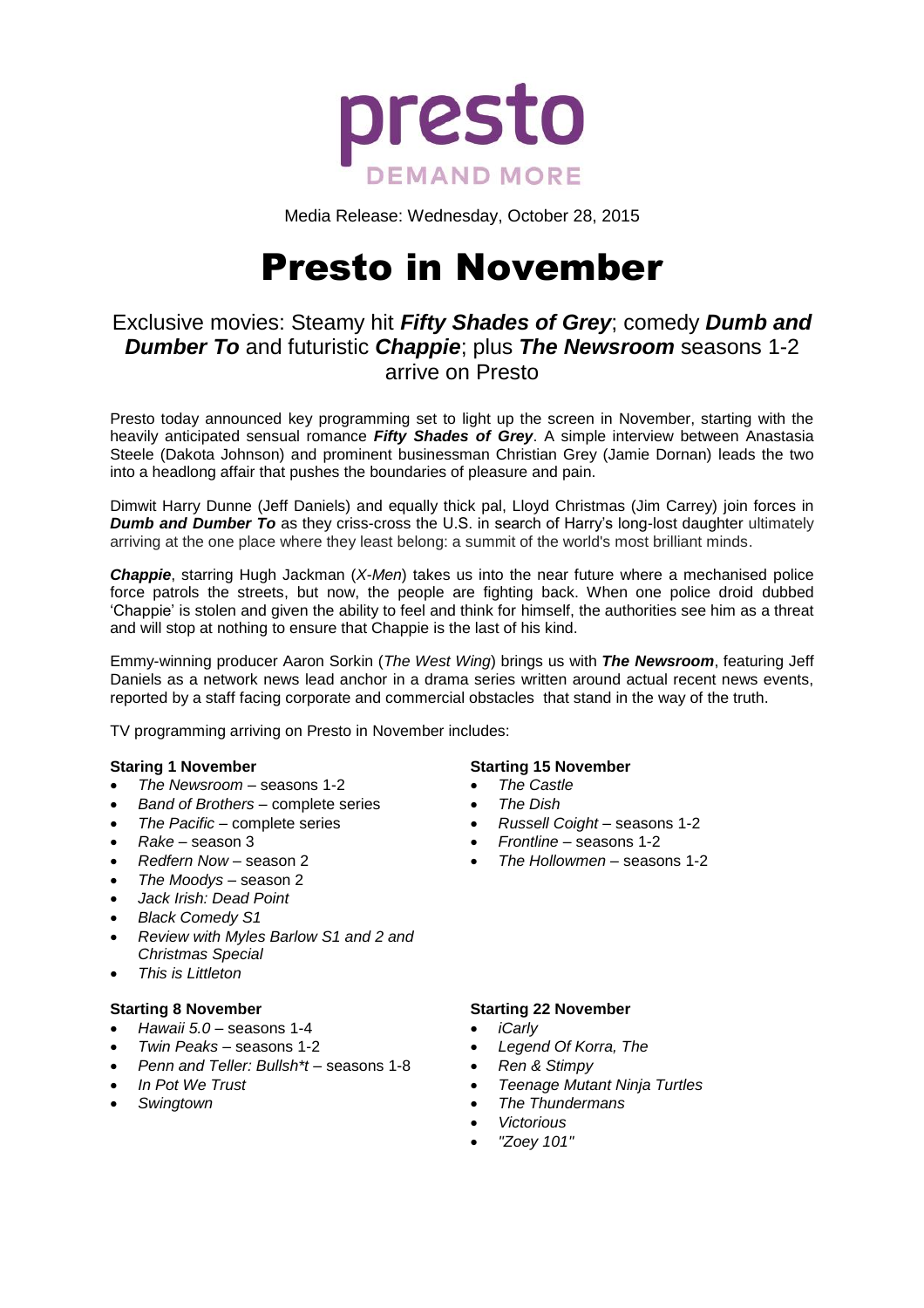

Media Release: Wednesday, October 28, 2015

# Presto in November

# Exclusive movies: Steamy hit *Fifty Shades of Grey*; comedy *Dumb and Dumber To* and futuristic *Chappie*; plus *The Newsroom* seasons 1-2 arrive on Presto

Presto today announced key programming set to light up the screen in November, starting with the heavily anticipated sensual romance *Fifty Shades of Grey*. A simple interview between Anastasia Steele (Dakota Johnson) and prominent businessman Christian Grey (Jamie Dornan) leads the two into a headlong affair that pushes the boundaries of pleasure and pain.

Dimwit Harry Dunne (Jeff Daniels) and equally thick pal, Lloyd Christmas (Jim Carrey) join forces in **Dumb and Dumber To** as they criss-cross the U.S. in search of Harry's long-lost daughter ultimately arriving at the one place where they least belong: a summit of the world's most brilliant minds.

*Chappie*, starring Hugh Jackman (*X-Men*) takes us into the near future where a mechanised police force patrols the streets, but now, the people are fighting back. When one police droid dubbed 'Chappie' is stolen and given the ability to feel and think for himself, the authorities see him as a threat and will stop at nothing to ensure that Chappie is the last of his kind.

Emmy-winning producer Aaron Sorkin (*The West Wing*) brings us with *The Newsroom*, featuring Jeff Daniels as a network news lead anchor in a drama series written around actual recent news events, reported by a staff facing corporate and commercial obstacles that stand in the way of the truth.

TV programming arriving on Presto in November includes:

- *The Newsroom –* seasons 1-2
- *Band of Brothers –* complete series
- *The Pacific –* complete series
- *Rake –* season 3
- *Redfern Now –* season 2
- *The Moodys –* season 2
- *Jack Irish: Dead Point*
- *Black Comedy S1*
- *Review with Myles Barlow S1 and 2 and Christmas Special*
- *This is Littleton*

- *Hawaii 5.0 –* seasons 1-4
- *Twin Peaks –* seasons 1-2
- *Penn and Teller: Bullsh\*t –* seasons 1-8
- *In Pot We Trust*
- *Swingtown*

# **Staring 1 November Starting 15 November**

- *The Castle*
- *The Dish*
- *Russell Coight –* seasons 1-2
- *Frontline –* seasons 1-2
- *The Hollowmen –* seasons 1-2

### **Starting 8 November Starting 22 November**

- *iCarly*
- *Legend Of Korra, The*
- *Ren & Stimpy*
- *Teenage Mutant Ninja Turtles*
- *The Thundermans*
- *Victorious*
- *"Zoey 101"*